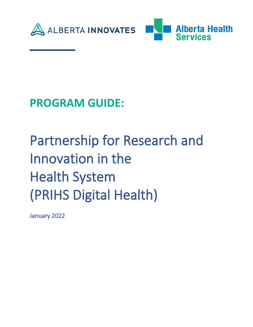



## **PROGRAM GUIDE:**

# Partnership for Research and Innovation in the Health System (PRIHS Digital Health)

January 2022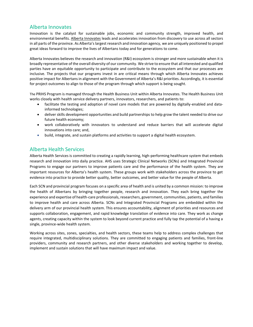#### Alberta Innovates

Innovation is the catalyst for sustainable jobs, economic and community strength, improved health, and environmental benefits. [Alberta Innovates](https://albertainnovates.ca/) leads and accelerates innovation from discovery to use across all sectors in all parts of the province. As Alberta's largest research and innovation agency, we are uniquely positioned to propel great ideas forward to improve the lives of Albertans today and for generations to come.

Alberta Innovates believes the research and innovation (R&I) ecosystem is stronger and more sustainable when it is broadly representative of the overall diversity of our community. We strive to ensure that all interested and qualified parties have an equitable opportunity to participate and contribute to the ecosystem and that our processes are inclusive. The projects that our programs invest in are critical means through which Alberta Innovates achieves positive impact for Albertans in alignment with the Government of Alberta's R&I priorities. Accordingly, it is essential for project outcomes to align to those of the program through which support is being sought.

The PRIHS Program is managed through the Health Business Unit within Alberta Innovates. The Health Business Unit works closely with health service delivery partners, innovators, researchers, and patients to:

- facilitate the testing and adoption of novel care models that are powered by digitally-enabled and datainformed technologies;
- deliver skills development opportunities and build partnerships to help grow the talent needed to drive our future health economy;
- work collaboratively with innovators to understand and reduce barriers that will accelerate digital innovations into care; and,
- build, integrate, and sustain platforms and activities to support a digital health ecosystem.

#### Alberta Health Services

Alberta Health Services is committed to creating a rapidly learning, high-performing healthcare system that embeds research and innovation into daily practice. AHS uses Strategic Clinical Networks (SCNs) and Integrated Provincial Programs to engage our partners to improve patients care and the performance of the health system. They are important resources for Alberta's health system. These groups work with stakeholders across the province to get evidence into practice to provide better quality, better outcomes, and better value for the people of Alberta.

Each SCN and provincial program focuses on a specific area of health and is united by a common mission: to improve the health of Albertans by bringing together people, research and innovation. They each bring together the experience and expertise of health-care professionals, researchers, government, communities, patients, and families to improve health and care across Alberta. SCNs and Integrated Provincial Programs are embedded within the delivery arm of our provincial health system. This ensures accountability, alignment of priorities and resources and supports collaboration, engagement, and rapid knowledge translation of evidence into care. They work as change agents, creating capacity within the system to look beyond current practice and fully tap the potential of a having a single, province-wide health system.

Working across sites, zones, specialties, and health sectors, these teams help to address complex challenges that require integrated, multidisciplinary solutions. They are committed to engaging patients and families, front-line providers, community and research partners, and other diverse stakeholders and working together to develop, implement and sustain solutions that will have maximum impact and value.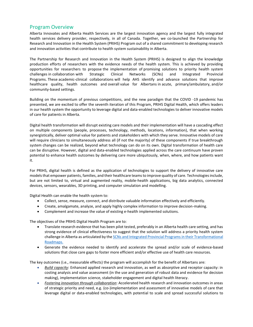#### Program Overview

Alberta Innovates and Alberta Health Services are the largest innovation agency and the largest fully integrated health services delivery provider, respectively, in all of Canada. Together, we co-launched the Partnership for Research and Innovation in the Health System (PRIHS) Program out of a shared commitment to developing research and innovation activities that contribute to health system sustainability in Alberta.

The Partnership for Research and Innovation in the Health System (PRIHS) is designed to align the knowledge production efforts of researchers with the evidence needs of the health system. This is achieved by providing opportunities for researchers to propose the implementation of promising solutions to priority health system challenges in collaboration with Strategic Clinical Networks (SCNs) and Integrated Provincial Programs. These academic-clinical collaborations will help AHS identify and advance solutions that improve healthcare quality, health outcomes and overall value for Albertans in acute, primary/ambulatory, and/or community-based settings.

Building on the momentum of previous competitions, and the new paradigm that the COVID -19 pandemic has presented, we are excited to offer the seventh iteration of this Program, PRIHS Digital Health, which offers leaders in our health system the opportunity to leverage digital and data-enabled technologies to deliver innovative models of care for patients in Alberta.

Digital health transformation will disrupt existing care models and their implementation will have a cascading effect on multiple components (people, processes, technology, methods, locations, information), that when working synergistically, deliver optimal value for patients and stakeholders with which they serve. Innovative models of care will require clinicians to simultaneously address all (if not the majority) of these components if true breakthrough system changes can be realized, beyond what technology can do on its own. Digital transformation of health care can be disruptive. However, digital and data-enabled technologies applied across the care continuum have proven potential to enhance health outcomes by delivering care more ubiquitously, when, where, and how patients want it.

For PRIHS, digital health is defined as the application of technologies to support the delivery of innovative care models that empower patients, families, and their healthcare teams to improve quality of care. Technologies include, but are not limited to, virtual and augmented reality, mobile-health applications, big data analytics, connected devices, sensors, wearables, 3D printing, and computer simulation and modelling.

Digital Health can enable the health system to:

- Collect, sense, measure, connect, and distribute valuable information effectively and efficiently.
- Create, amalgamate, analyze, and apply highly complex information to improve decision-making.
- Complement and increase the value of existing e-health implemented solutions.

The objectives of the PRIHS Digital Health Program are to:

- Translate research evidence that has been pilot tested, preferably in an Alberta health care setting, and has strong evidence of clinical effectiveness to suggest that the solution will address a priority health system challenge in Alberta as articulated by th[e SCNs and Integrated Provincial Programs in their Transformational](https://albertainnovates.ca/wp-content/uploads/2022/01/PRIHS-7-Digital-Health-SCN-TRM-Summaries-2022-01-24-jnp.pdf)  [Roadmaps.](https://albertainnovates.ca/wp-content/uploads/2022/01/PRIHS-7-Digital-Health-SCN-TRM-Summaries-2022-01-24-jnp.pdf)
- Generate the evidence needed to identify and accelerate the spread and/or scale of evidence-based solutions that close care gaps to foster more efficient and/or effective use of health care resources.

The key outcomes (i.e., measurable effects) the program will accomplish for the benefit of Albertans are:

- *Build capacity*: Enhanced applied research and innovation, as well as absorptive and receptor capacity: in costing analysis and value assessment (in the use and generation of robust data and evidence for decision making), implementation science, stakeholder engagement and digital health literacy.
- *Fostering innovation through collaboration*: Accelerated health research and innovation outcomes in areas of strategic priority and need, e.g. (co-)implementation and assessment of innovative models of care that leverage digital or data-enabled technologies, with potential to scale and spread successful solutions to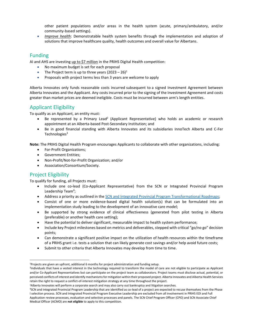other patient populations and/or areas in the health system (acute, primary/ambulatory, and/or community-based settings).

• *Improve health*: Demonstratable health system benefits through the implementation and adoption of solutions that improve healthcare quality, health outcomes and overall value for Albertans.

#### Funding

AI and AHS are investing up to \$7 million in the PRIHS Digital Health competition:

- No maximum budget is set for each proposal
- The Project term is up to three years  $(2023 26)^1$
- Proposals with project terms less than 3 years are welcome to apply

Alberta Innovates only funds reasonable costs incurred subsequent to a signed Investment Agreement between Alberta Innovates and the Applicant. Any costs incurred prior to the signing of the Investment Agreement and costs greater than market prices are deemed ineligible. Costs must be incurred between arm's length entities.

### Applicant Eligibility

To qualify as an Applicant, an entity must:

- Be represented by a Primary Lead<sup>2</sup> (Applicant Representative) who holds an academic or research appointment at an Alberta-based Post-Secondary Institution; and
- Be in good financial standing with Alberta Innovates and its subsidiaries InnoTech Alberta and C-Fer Technologies<sup>3</sup>

**Note:** The PRIHS Digital Health Program encourages Applicants to collaborate with other organizations, including:

- For-Profit Organizations;
- Government Entities;
- Non-Profit/Not-for-Profit Organization; and/or
- Association/Consortium/Society.

### Project Eligibility

To qualify for funding, all Projects must:

- Include one co-lead (Co-Applicant Representative) from the SCN or Integrated Provincial Program Leadership Team<sup>4</sup>;
- Address a priority as outlined in the [SCN and Integrated Provincial Program Transformational Roadmaps;](https://albertainnovates.ca/wp-content/uploads/2022/01/PRIHS-7-Digital-Health-SCN-TRM-Summaries-2022-01-24-jnp.pdf)
- Consist of one or more evidence-based digital health solution(s) that can be formulated into an implementation study leading to the development of an innovative care model;
- Be supported by strong evidence of clinical effectiveness (generated from pilot testing in Alberta (preferable) or another health care setting);
- Have the potential to deliver significant, measurable impact to health system performance;
- Include key Project milestones based on metrics and deliverables, stepped with critical "go/no go" decision points;
- Can demonstrate a significant positive impact on the utilization of health resources within the timeframe of a PRIHS grant i.e. tests a solution that can likely generate cost savings and/or help avoid future costs;
- Submit to other criteria that Alberta Innovates may develop from time to time.

<sup>1</sup>Projects are given an upfront, additional 6 months for project administration and funding setup.

<sup>2</sup> Individuals that have a vested interest in the technology required to transform the model of care are not eligible to participate as Applicant and/or Co-Applicant Representatives but can participate on the project team as collaborators. Project teams must disclose actual, potential, or perceived conflicts of interest and identify mechanisms for mitigation within their proposed project. Alberta Innovates and Alberta Health Services retain the right to request a conflict-of-interest mitigation strategy at any time throughout the project.

<sup>3</sup>Alberta Innovates will perform a corporate search and may also carry out bankruptcy and litigation searches.

<sup>4</sup>SCN and Integrated Provincial Program Leadership that are identified as co-lead of a project are expected to recuse themselves from the Phase I selection process. SCN and Integrated Provincial Program Executive Leadership are excluded from all involvement in PRIHS EOI and Full Application review processes, evaluation and selection processes and panels. The SCN Chief Program Officer (CPO) and SCN Associate Chief Medical Officer (ACMO) are **not eligible** to apply to this competition*.*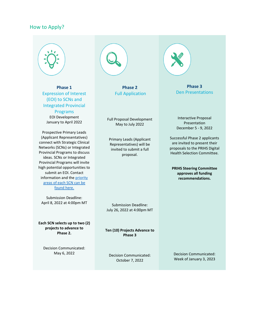#### How to Apply?



**Phase 1** Expression of Interest (EOI) to SCNs and Integrated Provincial

Programs EOI Development January to April 2022

Prospective Primary Leads (Applicant Representatives) connect with Strategic Clinical Networks (SCNs) or Integrated Provincial Programs to discuss ideas. SCNs or Integrated Provincial Programs will invite high potential opportunities to submit an EOI. Contact information and th[e priority](https://albertainnovates.ca/wp-content/uploads/2022/01/PRIHS-7-Digital-Health-SCN-TRM-Summaries-2022-01-24-jnp.pdf)  [areas of each SCN can be](https://albertainnovates.ca/wp-content/uploads/2022/01/PRIHS-7-Digital-Health-SCN-TRM-Summaries-2022-01-24-jnp.pdf)  [found here.](https://albertainnovates.ca/wp-content/uploads/2022/01/PRIHS-7-Digital-Health-SCN-TRM-Summaries-2022-01-24-jnp.pdf)

Submission Deadline: April 8, 2022 at 4:00pm MT

**Each SCN selects up to two (2) projects to advance to Phase 2.**

Decision Communicated: May 6, 2022



**Phase 2** Full Application

Full Proposal Development May to July 2022

Primary Leads (Applicant Representatives) will be invited to submit a full proposal.

Submission Deadline: July 26, 2022 at 4:00pm MT

**Ten (10) Projects Advance to Phase 3**

Decision Communicated: October 7, 2022

**Phase 3**  Den Presentations

Interactive Proposal Presentation December 5 - 9, 2022

Successful Phase 2 applicants are invited to present their proposals to the PRIHS Digital Health Selection Committee.

**PRIHS Steering Committee approves all funding recommendations.**

Decision Communicated: Week of January 3, 2023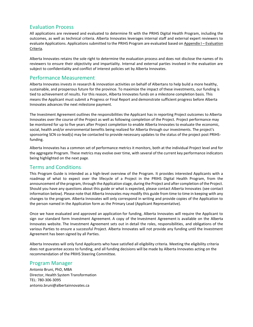#### Evaluation Process

All applications are reviewed and evaluated to determine fit with the PRIHS Digital Health Program, including the outcomes, as well as technical criteria. Alberta Innovates leverages internal staff and external expert reviewers to evaluate Applications. Applications submitted to the PRIHS Program are evaluated based on [Appendix I](bookmark://_APPENDIX_I_/) – Evaluation [Criteria.](bookmark://_APPENDIX_I_/)

Alberta Innovates retains the sole right to determine the evaluation process and does not disclose the names of its reviewers to ensure their objectivity and impartiality. Internal and external parties involved in the evaluation are subject to confidentiality and conflict of interest policies set by Alberta Innovates.

#### Performance Measurement

Alberta Innovates invests in research & innovation activities on behalf of Albertans to help build a more healthy, sustainable, and prosperous future for the province. To maximize the impact of these investments, our funding is tied to achievement of results. For this reason, Alberta Innovates funds on a milestone completion basis. This means the Applicant must submit a Progress or Final Report and demonstrate sufficient progress before Alberta Innovates advances the next milestone payment*.*

The Investment Agreement outlines the responsibilities the Applicant has in reporting Project outcomes to Alberta Innovates over the course of the Project as well as following completion of the Project. Project performance may be monitored for up to five years after Project completion to enable Alberta Innovates to evaluate the economic, social, health and/or environmental benefits being realized for Alberta through our investments. The project's sponsoring SCN co-lead(s) may be contacted to provide necessary updates to the status of the project post PRIHSfunding.

Alberta Innovates has a common set of performance metrics it monitors, both at the individual Project level and for the aggregate Program. These metrics may evolve over time, with several of the current key performance indicators being highlighted on the next page.

#### Terms and Conditions

This Program Guide is intended as a high-level overview of the Program. It provides interested Applicants with a roadmap of what to expect over the lifecycle of a Project in the PRIHS Digital Health Program, from the announcement of the program, through the Application stage, during the Project and after completion of the Project. Should you have any questions about this guide or what is expected, please contact Alberta Innovates (see contact information below). Please note that Alberta Innovates may modify this guide from time to time in keeping with any changes to the program. Alberta Innovates will only correspond in writing and provide copies of the Application to the person named in the Application form as the Primary Lead (Applicant Representative).

Once we have evaluated and approved an application for funding, Alberta Innovates will require the Applicant to sign our standard form Investment Agreement. A copy of the Investment Agreement is available on the Alberta Innovates website. The Investment Agreement sets out in detail the roles, responsibilities, and obligations of the various Parties to ensure a successful Project. Alberta Innovates will not provide any funding until the Investment Agreement has been signed by all Parties.

Alberta Innovates will only fund Applicants who have satisfied all eligibility criteria. Meeting the eligibility criteria does not guarantee access to funding, and all funding decisions will be made by Alberta Innovates acting on the recommendation of the PRIHS Steering Committee.

#### Program Manager

Antonio Bruni, PhD, MBA Director, Health System Transformation TEL: 780-306-3095 antonio.bruni@albertainnovates.ca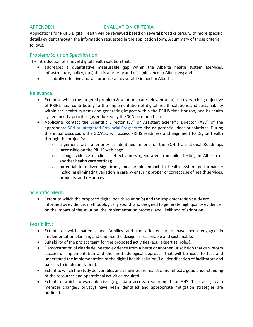#### APPENDIX I EVALUATION CRITERIA

Applications for PRIHS Digital Health will be reviewed based on several broad criteria, with more specific details evident through the information requested in the application form. A summary of those criteria follows:

#### Problem/Solution Specification:

The introduction of a novel digital health solution that:

- addresses a quantitative measurable gap within the Alberta health system (services, infrastructure, policy, etc.) that is a priority and of significance to Albertans; and
- is clinically effective and will produce a measurable impact in Alberta.

#### Relevance:

- Extent to which the targeted problem & solution(s) are relevant to: a) the overarching objective of PRIHS (i.e., contributing to the implementation of digital health solutions and sustainability within the health system) and generating impact within the PRIHS time horizon, and b) health system need / priorities (as endorsed by the SCN communities).
- Applicants contact the Scientific Director (SD) or Assistant Scientific Director (ASD) of the appropriate SCN [or Integrated Provincial Program](https://albertainnovates.ca/wp-content/uploads/2022/01/PRIHS-7-Digital-Health-SCN-TRM-Summaries-2022-01-24-jnp.pdf) to discuss potential ideas or solutions. During this initial discussion, the SD/ASD will assess PRIHS readiness and alignment to Digital Health through the project's:
	- $\circ$  alignment with a priority as identified in one of the SCN Translational Roadmaps (accessible on the PRIHS web page)
	- o strong evidence of clinical effectiveness (generated from pilot testing in Alberta or another health care setting);
	- $\circ$  potential to deliver significant, measurable impact to health system performance; including eliminating variation in care by ensuring proper or correct use of health services, products, and resources

#### Scientific Merit:

• Extent to which the proposed digital health solution(s) and the implementation study are informed by evidence, methodologically sound, and designed to generate high quality evidence on the impact of the solution, the implementation process, and likelihood of adoption.

#### Feasibility:

- Extent to which patients and families and the affected areas have been engaged in implementation planning and endorse the design as reasonable and sustainable.
- Suitability of the project team for the proposed activities (e.g., expertise, roles).
- Demonstration of clearly delineated evidence from Alberta or another jurisdiction that can inform successful implementation and the methodological approach that will be used to test and understand the implementation of the digital health solution (i.e. identification of facilitators and barriers to implementation).
- Extent to which the study deliverables and timelines are realistic and reflect a good understanding of the resources and operational activities required.
- Extent to which foreseeable risks (e.g., data access, requirement for AHS IT services, team member changes, privacy) have been identified and appropriate mitigation strategies are outlined.